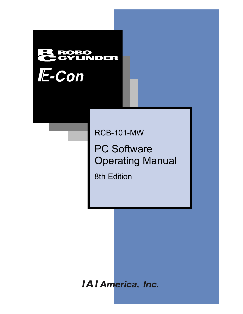# **INDER** E-Con

RCB-101-MW

PC Software Operating Manual

8th Edition

**IAI America, Inc.**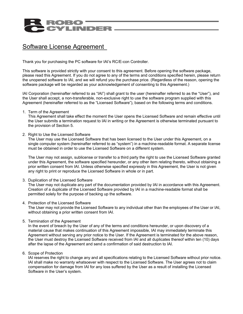## Software License Agreement

Thank you for purchasing the PC software for IAI's RC/E-con Controller.

This software is provided strictly with your consent to this agreement. Before opening the software package, please read this Agreement. If you do not agree to any of the terms and conditions specified herein, please return the unopened software to IAI, and we will refund you the purchase price. (Regardless of the reason, opening the software package will be regarded as your acknowledgement of consenting to this Agreement.)

IAI Corporation (hereinafter referred to as "IAI") shall grant to the user (hereinafter referred to as the "User"), and the User shall accept, a non-transferable, non-exclusive right to use the software program supplied with this Agreement (hereinafter referred to as the "Licensed Software"), based on the following terms and conditions.

#### 1. Term of the Agreement

This Agreement shall take effect the moment the User opens the Licensed Software and remain effective until the User submits a termination request to IAI in writing or the Agreement is otherwise terminated pursuant to the provision of Section 5.

#### 2. Right to Use the Licensed Software

The User may use the Licensed Software that has been licensed to the User under this Agreement, on a single computer system (hereinafter referred to as "system") in a machine-readable format. A separate license must be obtained in order to use the Licensed Software on a different system.

The User may not assign, sublicense or transfer to a third party the right to use the Licensed Software granted under this Agreement, the software specified hereunder, or any other item relating thereto, without obtaining a prior written consent from IAI. Unless otherwise specified expressly in this Agreement, the User is not given any right to print or reproduce the Licensed Software in whole or in part.

3. Duplication of the Licensed Software

The User may not duplicate any part of the documentation provided by IAI in accordance with this Agreement. Creation of a duplicate of the Licensed Software provided by IAI in a machine-readable format shall be permitted solely for the purpose of backing up the software.

4. Protection of the Licensed Software

The User may not provide the Licensed Software to any individual other than the employees of the User or IAI, without obtaining a prior written consent from IAI.

5. Termination of the Agreement

In the event of breach by the User of any of the terms and conditions hereunder, or upon discovery of a material cause that makes continuation of this Agreement impossible, IAI may immediately terminate this Agreement without serving any prior notice to the User. If the Agreement is terminated for the above reason, the User must destroy the Licensed Software received from IAI and all duplicates thereof within ten (10) days after the lapse of the Agreement and send a confirmation of said destruction to IAI.

6. Scope of Protection

IAI reserves the right to change any and all specifications relating to the Licensed Software without prior notice. IAI shall make no warranty whatsoever with respect to the Licensed Software. The User agrees not to claim compensation for damage from IAI for any loss suffered by the User as a result of installing the Licensed Software in the User's system.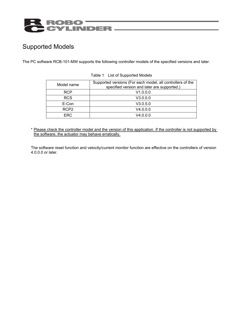# ROBO<br>CYLINDER

## Supported Models

The PC software RCB-101-MW supports the following controller models of the specified versions and later.

| Model name       | Supported versions (For each model, all controllers of the<br>specified version and later are supported.) |
|------------------|-----------------------------------------------------------------------------------------------------------|
| <b>RCP</b>       | V1.0.0.0                                                                                                  |
| <b>RCS</b>       | V3.0.0.0                                                                                                  |
| E-Con            | V3.0.5.0                                                                                                  |
| RCP <sub>2</sub> | V4.0.0.0                                                                                                  |
| FRC.             | V4.0.0.0                                                                                                  |

Table 1 List of Supported Models

\* Please check the controller model and the version of this application. If the controller is not supported by the software, the actuator may behave erratically.

The software reset function and velocity/current monitor function are effective on the controllers of version 4.0.0.0 or later.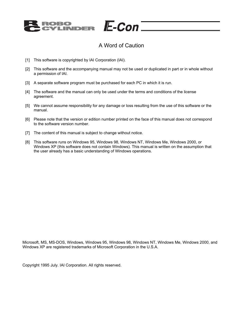

## A Word of Caution

E-Con

- [1] This software is copyrighted by IAI Corporation (IAI).
- [2] This software and the accompanying manual may not be used or duplicated in part or in whole without a permission of IAI.
- [3] A separate software program must be purchased for each PC in which it is run.
- [4] The software and the manual can only be used under the terms and conditions of the license agreement.
- [5] We cannot assume responsibility for any damage or loss resulting from the use of this software or the manual.
- [6] Please note that the version or edition number printed on the face of this manual does not correspond to the software version number.
- [7] The content of this manual is subject to change without notice.
- [8] This software runs on Windows 95, Windows 98, Windows NT, Windows Me, Windows 2000, or Windows XP (this software does not contain Windows). This manual is written on the assumption that the user already has a basic understanding of Windows operations.

Microsoft, MS, MS-DOS, Windows, Windows 95, Windows 98, Windows NT, Windows Me, Windows 2000, and Windows XP are registered trademarks of Microsoft Corporation in the U.S.A.

Copyright 1995 July. IAI Corporation. All rights reserved.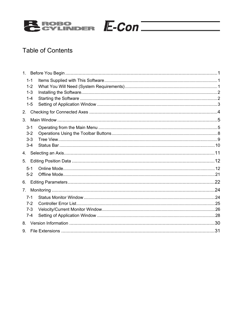

## **Table of Contents**

|                | $1 - 1$<br>$1 - 2$ |  |
|----------------|--------------------|--|
|                | $1 - 3$            |  |
|                | $1 - 4$            |  |
|                | $1 - 5$            |  |
| 2.             |                    |  |
| 3.             |                    |  |
|                | $3 - 1$            |  |
|                | $3-2$              |  |
|                | $3 - 3$            |  |
|                | $3 - 4$            |  |
| 4.             |                    |  |
| 5.             |                    |  |
|                | $5 - 1$            |  |
|                | $5-2$              |  |
| 6.             |                    |  |
| 7 <sub>1</sub> |                    |  |
|                | $7 - 1$            |  |
|                | $7-2$              |  |
|                | $7 - 3$            |  |
|                | $7 - 4$            |  |
| 8.             |                    |  |
| 9.             |                    |  |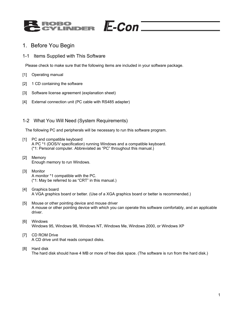

#### 1. Before You Begin

1-1 Items Supplied with This Software

Please check to make sure that the following items are included in your software package.

- [1] Operating manual
- [2] 1 CD containing the software
- [3] Software license agreement (explanation sheet)
- [4] External connection unit (PC cable with RS485 adapter)

#### 1-2 What You Will Need (System Requirements)

The following PC and peripherals will be necessary to run this software program.

- [1] PC and compatible keyboard A PC \*1 (DOS/V specification) running Windows and a compatible keyboard. (\*1: Personal computer. Abbreviated as "PC" throughout this manual.)
- [2] Memory Enough memory to run Windows.
- [3] Monitor A monitor \*1 compatible with the PC. (\*1: May be referred to as "CRT" in this manual.)
- [4] Graphics board A VGA graphics board or better. (Use of a XGA graphics board or better is recommended.)
- [5] Mouse or other pointing device and mouse driver A mouse or other pointing device with which you can operate this software comfortably, and an applicable driver.
- [6] Windows Windows 95, Windows 98, Windows NT, Windows Me, Windows 2000, or Windows XP
- [7] CD ROM Drive A CD drive unit that reads compact disks.
- [8] Hard disk The hard disk should have 4 MB or more of free disk space. (The software is run from the hard disk.)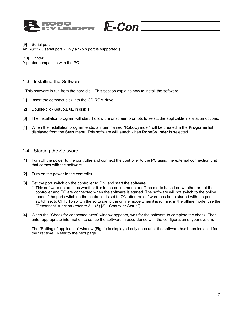### $E\text{-}\mathcal{C}$ on $\bar{\ }$ **IDER**

#### [9] Serial port

An RS232C serial port. (Only a 9-pin port is supported.)

[10] Printer A printer compatible with the PC.

#### 1-3 Installing the Software

This software is run from the hard disk. This section explains how to install the software.

- [1] Insert the compact disk into the CD ROM drive.
- [2] Double-click Setup.EXE in disk 1.
- [3] The installation program will start. Follow the onscreen prompts to select the applicable installation options.
- [4] When the installation program ends, an item named "RoboCylinder" will be created in the **Programs** list displayed from the **Start** menu. This software will launch when **RoboCylinder** is selected.

#### 1-4 Starting the Software

- [1] Turn off the power to the controller and connect the controller to the PC using the external connection unit that comes with the software.
- [2] Turn on the power to the controller.
- [3] Set the port switch on the controller to ON, and start the software.
	- \* This software determines whether it is in the online mode or offline mode based on whether or not the controller and PC are connected when the software is started. The software will not switch to the online mode if the port switch on the controller is set to ON after the software has been started with the port switch set to OFF. To switch the software to the online mode when it is running in the offline mode, use the "Reconnect" function (refer to 3-1 (5) [2], "Controller Setup").
- [4] When the "Check for connected axes" window appears, wait for the software to complete the check. Then, enter appropriate information to set up the software in accordance with the configuration of your system.

 The "Setting of application" window (Fig. 1) is displayed only once after the software has been installed for the first time. (Refer to the next page.)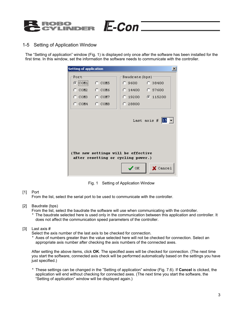

#### 1-5 Setting of Application Window

The "Setting of application" window (Fig. 1) is displayed only once after the software has been installed for the first time. In this window, set the information the software needs to communicate with the controller.

 $E$ -Con $=$ 

| Port<br>$C$ COM5<br>$\odot$ COM1                                                                                                               | Baudrate (bps) -<br>C.38400<br>C 9600 -<br>C 14400 C 57600 |  |  |  |  |
|------------------------------------------------------------------------------------------------------------------------------------------------|------------------------------------------------------------|--|--|--|--|
|                                                                                                                                                |                                                            |  |  |  |  |
|                                                                                                                                                |                                                            |  |  |  |  |
| ∩ сом2 — ∩ сом6                                                                                                                                |                                                            |  |  |  |  |
| $C_{COM3}$ $C_{COM7}$                                                                                                                          | $C_{19200}$ $C_{115200}$                                   |  |  |  |  |
| $\degree$ COM4 $\degree$ COM8                                                                                                                  | C 28800                                                    |  |  |  |  |
| (The new settings will be effective<br>after resetting or cycling power.)<br>$\boldsymbol{\mathcal{S}}$ ok<br>$\boldsymbol{\mathsf{X}}$ Cancel |                                                            |  |  |  |  |

Fig. 1 Setting of Application Window

#### [1] Port

From the list, select the serial port to be used to communicate with the controller.

- [2] Baudrate (bps)
	- From the list, select the baudrate the software will use when communicating with the controller.
	- \* The baudrate selected here is used only in the communication between this application and controller. It does not affect the communication speed parameters of the controller.

#### [3] Last axis #

Select the axis number of the last axis to be checked for connection.

\* Axes of numbers greater than the value selected here will not be checked for connection. Select an appropriate axis number after checking the axis numbers of the connected axes.

 After setting the above items, click **OK**. The specified axes will be checked for connection. (The next time you start the software, connected axis check will be performed automatically based on the settings you have just specified.)

\* These settings can be changed in the "Setting of application" window (Fig. 7.6). If **Cancel** is clicked, the application will end without checking for connected axes. (The next time you start the software, the "Setting of application" window will be displayed again.)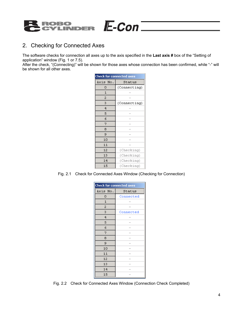

#### 2. Checking for Connected Axes

The software checks for connection all axes up to the axis specified in the **Last axis #** box of the "Setting of application" window (Fig. 1 or 7.5).

After the check, "(Connecting)" will be shown for those axes whose connection has been confirmed, while "-" will be shown for all other axes.

 $E$ -Con $=$ 

| <b>Check for connected axes</b> |              |  |
|---------------------------------|--------------|--|
| Axis No.                        | Status       |  |
| ο                               | (Connecting) |  |
| 1                               |              |  |
| 2                               |              |  |
| 3                               | (Connecting) |  |
| 4                               |              |  |
| 5                               |              |  |
| 6                               |              |  |
| 7                               |              |  |
| 8                               |              |  |
| 9                               |              |  |
| 10                              |              |  |
| 11                              |              |  |
| 12                              | (Checking)   |  |
| 13                              | (Checking)   |  |
| 14                              | (Checking)   |  |
| 15                              | (Checking)   |  |

Fig. 2.1 Check for Connected Axes Window (Checking for Connection)

| <b>Check for connected axes</b> |           |  |
|---------------------------------|-----------|--|
| Axis No.                        | Status    |  |
| о                               | Connected |  |
| $\mathbf{1}$                    |           |  |
| 2                               |           |  |
| 3                               | Connected |  |
| $\overline{4}$                  |           |  |
| 5                               |           |  |
| 6                               |           |  |
| 7                               |           |  |
| 8                               |           |  |
| 9                               |           |  |
| 10                              |           |  |
| 11                              |           |  |
| 12                              |           |  |
| 13                              |           |  |
| 14                              |           |  |
| 15                              |           |  |

Fig. 2.2 Check for Connected Axes Window (Connection Check Completed)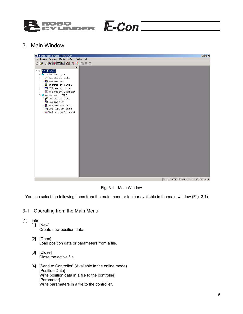

#### 3. Main Window

| <u>de / 50 met a 28 held</u><br>×<br>$E = 2$<br>$\overline{\Theta}$ Axis No. 0[ERC]<br>Position data<br><b>B</b> Parameter<br><b>图</b> Status monitor<br><b>I</b> CTL error list<br>└── Velocity/Current<br>$\overline{\mathbb{H}}$ Axis No. 3 [ERC]<br>Position data<br><b>B</b> Parameter<br><b>图</b> Status monitor<br><b>OU</b> CTL error list<br>Welocity/Current<br>Port : COM1 Baudrate : 115200[bps] | <b>B</b> PC Interface Software for RC/E-Con         | $\Box$ $\Box$ $\times$ |
|--------------------------------------------------------------------------------------------------------------------------------------------------------------------------------------------------------------------------------------------------------------------------------------------------------------------------------------------------------------------------------------------------------------|-----------------------------------------------------|------------------------|
|                                                                                                                                                                                                                                                                                                                                                                                                              | File Position Parameter Monitor Setting Window Help |                        |
|                                                                                                                                                                                                                                                                                                                                                                                                              |                                                     |                        |
|                                                                                                                                                                                                                                                                                                                                                                                                              |                                                     |                        |

Fig. 3.1 Main Window

You can select the following items from the main menu or toolbar available in the main window (Fig. 3.1).

#### 3-1 Operating from the Main Menu

- (1) File
	- [1] [New] Create new position data.
	- [2] [Open] Load position data or parameters from a file.
	- [3] [Close] Close the active file.
	- [4] [Send to Controller] (Available in the online mode) [Position Data] Write position data in a file to the controller. [Parameter] Write parameters in a file to the controller.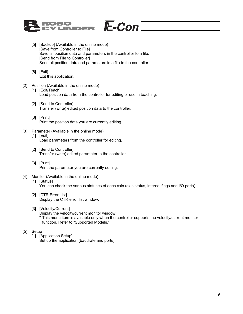

- [5] [Backup] (Available in the online mode) [Save from Controller to File] Save all position data and parameters in the controller to a file. [Send from File to Controller] Send all position data and parameters in a file to the controller.
- [6] [Exit] Exit this application.

#### (2) Position (Available in the online mode) [1] [Edit/Teach]

Load position data from the controller for editing or use in teaching.

- [2] [Send to Controller] Transfer (write) edited position data to the controller.
- [3] [Print] Print the position data you are currently editing.
- (3) Parameter (Available in the online mode) [1] [Edit] Load parameters from the controller for editing.
	- [2] [Send to Controller] Transfer (write) edited parameter to the controller.
	- [3] [Print] Print the parameter you are currently editing.
- (4) Monitor (Available in the online mode) [1] [Status]

You can check the various statuses of each axis (axis status, internal flags and I/O ports).

 $E$ -Con $=$ 

- [2] [CTR Error List] Display the CTR error list window.
- [3] [Velocity/Current]

Display the velocity/current monitor window.

- \* This menu item is available only when the controller supports the velocity/current monitor function. Refer to "Supported Models."
- (5) Setup
	- [1] [Application Setup]

Set up the application (baudrate and ports).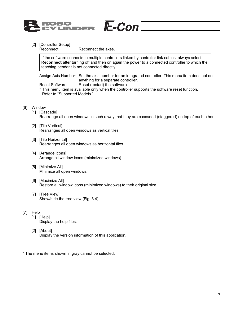

[2] [Controller Setup]

Reconnect: Reconnect the axes.

If the software connects to multiple controllers linked by controller link cables, always select **Reconnect** after turning off and then on again the power to a connected controller to which the teaching pendant is not connected directly.

 $E$ -Con $=$ 

 Assign Axis Number: Set the axis number for an integrated controller. This menu item does not do anything for a separate controller.

Reset Software: Reset (restart) the software.

\* This menu item is available only when the controller supports the software reset function. Refer to "Supported Models."

- (6) Window
	- [1] [Cascade] Rearrange all open windows in such a way that they are cascaded (staggered) on top of each other.
	- [2] [Tile Vertical] Rearranges all open windows as vertical tiles.
	- [3] [Tile Horizontal] Rearranges all open windows as horizontal tiles.
	- [4] [Arrange Icons] Arrange all window icons (minimized windows).
	- [5] [Minimize All] Minimize all open windows.
	- [6] [Maximize All] Restore all window icons (minimized windows) to their original size.
	- [7] [Tree View] Show/hide the tree view (Fig. 3.4).
- (7) Help
	- [1] [Help]
		- Display the help files.
	- [2] [About] Display the version information of this application.
- \* The menu items shown in gray cannot be selected.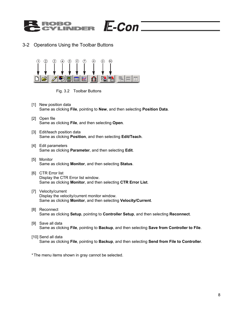

#### 3-2 Operations Using the Toolbar Buttons



Fig. 3.2 Toolbar Buttons

- [1] New position data Same as clicking **File**, pointing to **New**, and then selecting **Position Data**.
- [2] Open file Same as clicking **File**, and then selecting **Open**.
- [3] Edit/teach position data Same as clicking **Position**, and then selecting **Edit/Teach**.
- [4] Edit parameters Same as clicking **Parameter**, and then selecting **Edit**.
- [5] Monitor Same as clicking **Monitor**, and then selecting **Status**.
- [6] CTR Error list Display the CTR Error list window. Same as clicking **Monitor**, and then selecting **CTR Error List**.
- [7] Velocity/current Display the velocity/current monitor window. Same as clicking **Monitor**, and then selecting **Velocity/Current**.
- [8] Reconnect Same as clicking **Setup**, pointing to **Controller Setup**, and then selecting **Reconnect**.
- [9] Save all data Same as clicking **File**, pointing to **Backup**, and then selecting **Save from Controller to File**.
- [10] Send all data

Same as clicking **File**, pointing to **Backup**, and then selecting **Send from File to Controller**.

\* The menu items shown in gray cannot be selected.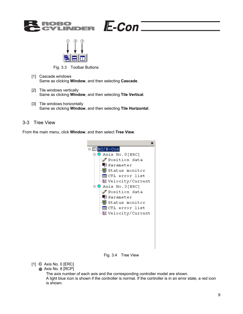



Fig. 3.3 Toolbar Buttons

- [1] Cascade windows Same as clicking **Window**, and then selecting **Cascade**.
- [2] Tile windows vertically Same as clicking **Window**, and then selecting **Tile Vertical**.
- [3] Tile windows horizontally Same as clicking **Window**, and then selecting **Tile Horizontal**.

#### 3-3 Tree View

From the main menu, click **Window**, and then select **Tree View**.



 $E$ -Con $=$ 

Fig. 3.4 Tree View

[1] **C** Axis No. 0 [ERC]

Axis No. 8 [RCP]

The axis number of each axis and the corresponding controller model are shown. A light blue icon is shown if the controller is normal. If the controller is in an error state, a red icon is shown.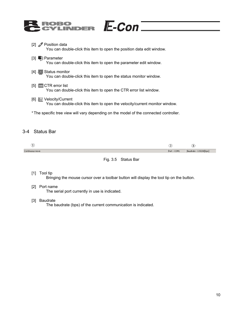| ROBO<br>CYLINDER E-CON                                                                                        |
|---------------------------------------------------------------------------------------------------------------|
| [2] $\mathscr P$ Position data<br>You can double-click this item to open the position data edit window.       |
| [3] $E$ Parameter<br>You can double-click this item to open the parameter edit window.                        |
| [4] 9 Status monitor<br>You can double-click this item to open the status monitor window.                     |
| $[5]$ - $\Box$ CTR error list<br>You can double-click this item to open the CTR error list window.            |
| [6] <b>__</b> Velocity/Current<br>You can double-click this item to open the velocity/current monitor window. |
| * The specific tree view will vary depending on the model of the connected controller.                        |

#### 3-4 Status Bar

|                 |            | پ<br>∽                |
|-----------------|------------|-----------------------|
| Continuous move | Port: COM1 | Baudrate: 115200[bps] |



#### [1] Tool tip

Bringing the mouse cursor over a toolbar button will display the tool tip on the button.

[2] Port name

The serial port currently in use is indicated.

[3] Baudrate

The baudrate (bps) of the current communication is indicated.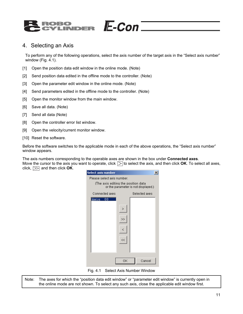

#### 4. Selecting an Axis

To perform any of the following operations, select the axis number of the target axis in the "Select axis number" window (Fig. 4.1).

- [1] Open the position data edit window in the online mode. (Note)
- [2] Send position data edited in the offline mode to the controller. (Note)
- [3] Open the parameter edit window in the online mode. (Note)
- [4] Send parameters edited in the offline mode to the controller. (Note)
- [5] Open the monitor window from the main window.
- [6] Save all data. (Note)
- [7] Send all data (Note)
- [8] Open the controller error list window.
- [9] Open the velocity/current monitor window.
- [10] Reset the software.

Before the software switches to the applicable mode in each of the above operations, the "Select axis number" window appears.

The axis numbers corresponding to the operable axes are shown in the box under **Connected axes**. Move the cursor to the axis you want to operate, click  $\triangleright$  to select the axis, and then click **OK**. To select all axes, click,  $\gg$  and then click OK.

| Select axis number                   |                                     |  |               | $\times$ |
|--------------------------------------|-------------------------------------|--|---------------|----------|
| Please select axis number.           |                                     |  |               |          |
| (The axis editing the position data) | or the parameter is not displayed.) |  |               |          |
| Connected axes                       |                                     |  | Selected axes |          |
| Axis_<br>00                          | ×,<br>>><br><<                      |  |               |          |
|                                      | ΟK                                  |  | Cancel        |          |
| Fig. 4.1                             | Select Axis Number Window           |  |               |          |

Note: The axes for which the "position data edit window" or "parameter edit window" is currently open in the online mode are not shown. To select any such axis, close the applicable edit window first.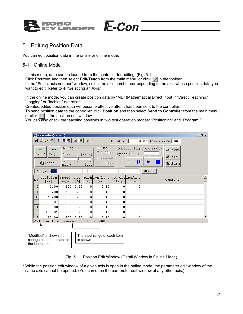

## 5. Editing Position Data

You can edit position data in the online or offline mode.

#### 5-1 Online Mode

In this mode, data can be loaded from the controller for editing. (Fig. 5.1) Click **Position** and then select **Edit/Teach** from the main menu, or click  $\mathscr{P}$  in the toolbar. In the "Select axis number" window, select the axis number corresponding to the axis whose position data you want to edit. Refer to 4, "Selecting an Axis."

 $E$ -Con

In the online mode, you can create position data by "MDI (Mathematical Direct Input)," "Direct Teaching," "Jogging" or "Inching" operation.

Created/edited position data will become effective after it has been sent to the controller.

To send position data to the controller, click **Position** and then select **Send to Controller** from the main menu, or click  $\Box$  in the position edit window.

You can also check the teaching positions in two test operation modes: "Positioning" and "Program."



Fig. 5.1 Position Edit Window (Detail Window in Online Mode)

\* While the position edit window of a given axis is open in the online mode, the parameter edit window of the same axis cannot be opened. (You can open the parameter edit window of any other axis.)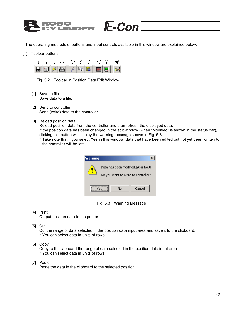

The operating methods of buttons and input controls available in this window are explained below.

(1) Toolbar buttons



Fig. 5.2 Toolbar in Position Data Edit Window

- [1] Save to file Save data to a file.
- [2] Send to controller Send (write) data to the controller.
- [3] Reload position data

Reload position data from the controller and then refresh the displayed data.

If the position data has been changed in the edit window (when "Modified" is shown in the status bar), clicking this button will display the warning message shown in Fig. 5.3.

\* Take note that if you select **Yes** in this window, data that have been edited but not yet been written to the controller will be lost.



Fig. 5.3 Warning Message

[4] Print

Output position data to the printer.

[5] Cut

Cut the range of data selected in the position data input area and save it to the clipboard. \* You can select data in units of rows.

[6] Copy

Copy to the clipboard the range of data selected in the position data input area. \* You can select data in units of rows.

[7] Paste

Paste the data in the clipboard to the selected position.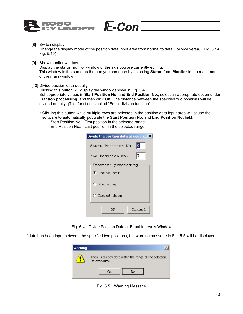

[8] Switch display Change the display mode of the position data input area from normal to detail (or vice versa). (Fig. 5.14, Fig. 5.15)

 $E$ -Con $=$ 

- [9] Show monitor window Display the status monitor window of the axis you are currently editing. This window is the same as the one you can open by selecting **Status** from **Monitor** in the main menu of the main window.
- [10] Divide position data equally

Clicking this button will display the window shown in Fig. 5.4.

Set appropriate values in **Start Position No.** and **End Position No.**, select an appropriate option under **Fraction processing**, and then click **OK**. The distance between the specified two positions will be divided equally. (This function is called "Equal division function")

- \* Clicking this button while multiple rows are selected in the position data input area will cause the software to automatically populate the **Start Position No.** and **End Position No.** field.
	- Start Position No.: First position in the selected range End Position No.: Last position in the selected range

| Divide the position data at equal i X |
|---------------------------------------|
| llol<br>Start Position No.            |
| 17<br>End Position No.                |
| Fraction processing                   |
| G Round off                           |
| C Round up                            |
| C Round down                          |
| ΟK<br>Cancel                          |

Fig. 5.4 Divide Position Data at Equal Intervals Window

If data has been input between the specified two positions, the warning message in Fig. 5.5 will be displayed.



Fig. 5.5 Warning Message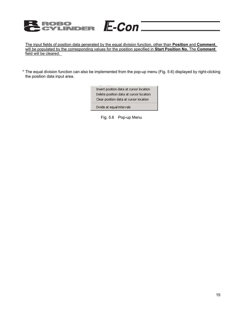#### **ROBO<br>CYLINDER**  $E$ -Con $=$

The input fields of position data generated by the equal division function, other than **Position** and **Comment**, will be populated by the corresponding values for the position specified in **Start Position No.** The **Comment** field will be cleared.

\* The equal division function can also be implemented from the pop-up menu (Fig. 5.6) displayed by right-clicking the position data input area.

> Insert position data at cursor location Delete position data at cursor location Clear position data at cursor location

Divide at equal intervals

Fig. 5.6 Pop-up Menu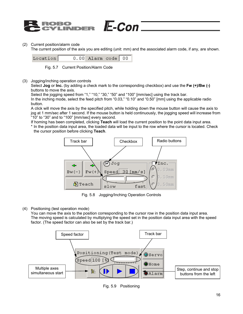

#### (2) Current position/alarm code

The current position of the axis you are editing (unit: mm) and the associated alarm code, if any, are shown.

 $E$ -Con $E$ 



Fig. 5.7 Current Position/Alarm Code

(3) Jogging/inching operation controls

Select **Jog** or **Inc.** (by adding a check mark to the corresponding checkbox) and use the **Fw (+)/Bw (-)** buttons to move the axis.

Select the jogging speed from "1," "10," "30," "50" and "100" [mm/sec] using the track bar.

In the inching mode, select the feed pitch from "0.03," "0.10" and "0.50" [mm] using the applicable radio button.

A click will move the axis by the specified pitch, while holding down the mouse button will cause the axis to jog at 1 mm/sec after 1 second. If the mouse button is held continuously, the jogging speed will increase from "10" to "30" and to "100" [mm/sec] every second.

If homing has been completed, clicking **Teach** will load the current position to the point data input area.

\* In the position data input area, the loaded data will be input to the row where the cursor is located. Check the cursor position before clicking **Teach**.



Fig. 5.8 Jogging/Inching Operation Controls

(4) Positioning (test operation mode)

You can move the axis to the position corresponding to the cursor row in the position data input area. The moving speed is calculated by multiplying the speed set in the position data input area with the speed factor. (The speed factor can also be set by the track bar.)



Fig. 5.9 Positioning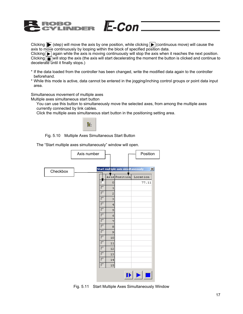

Clicking  $\blacktriangleright$  (step) will move the axis by one position, while clicking  $\blacktriangleright$  (continuous move) will cause the axis to move continuously by looping within the block of specified position data.

Clicking  $\blacktriangleright$  again while the axis is moving continuously will stop the axis when it reaches the next position. Clicking  $\sqrt{ }$  will stop the axis (the axis will start decelerating the moment the button is clicked and continue to decelerate until it finally stops.)

- \* If the data loaded from the controller has been changed, write the modified data again to the controller beforehand.
- \* While this mode is active, data cannot be entered in the jogging/inching control groups or point data input area.

Simultaneous movement of multiple axes

Multiple axes simultaneous start button

You can use this button to simultaneously move the selected axes, from among the multiple axes currently connected by link cables.

Click the multiple axes simultaneous start button in the positioning setting area.



Fig. 5.10 Multiple Axes Simultaneous Start Button

The "Start multiple axes simultaneously" window will open.

|          | Axis number |    |             |                                    | Position |              |
|----------|-------------|----|-------------|------------------------------------|----------|--------------|
|          |             |    |             |                                    |          |              |
| Checkbox |             |    |             | Start multiple axis simultaneously |          | $\mathbf{x}$ |
|          |             |    |             | Axis Position                      | Location |              |
|          |             |    | 0           |                                    | 77.11    |              |
|          |             |    | $\mathbf 1$ |                                    |          |              |
|          |             | г  | 2           |                                    |          |              |
|          |             | г  | 3           |                                    |          |              |
|          |             | г  | $\bf 4$     |                                    |          |              |
|          |             | г  | 5           |                                    |          |              |
|          |             | г  | 6           |                                    |          |              |
|          |             | г  | 7           |                                    |          |              |
|          |             | ٠  | 8           |                                    |          |              |
|          |             |    | 9           |                                    |          |              |
|          |             | г  | 10          |                                    |          |              |
|          |             | н. | 11<br>12    |                                    |          |              |
|          |             | ┍  | 13          |                                    |          |              |
|          |             | г  | 14          |                                    |          |              |
|          |             | г  | 15          |                                    |          |              |
|          |             |    |             |                                    |          |              |
|          |             |    |             | $\blacksquare$                     |          |              |

Fig. 5.11 Start Multiple Axes Simultaneously Window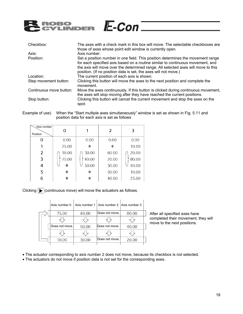

| Checkbox:               | The axes with a check mark in this box will move. The selectable checkboxes are            |
|-------------------------|--------------------------------------------------------------------------------------------|
|                         | those of axes whose point edit window is currently open.                                   |
| Axis:                   | Axis number.                                                                               |
| Position:               | Set a position number in one field. This position determines the movement range            |
|                         | for each specified axis based on a routine similar to continuous movement, and             |
|                         | the axis will move over the determined range. All selected axes will move to this          |
|                         | position. (If no position data is set, the axes will not move.)                            |
| Location:               | The current position of each axis is shown.                                                |
| Step movement button:   | Clicking this button will move the axes to the next position and complete the<br>movement. |
| Continuous move button: | Move the axes continuously. If this button is clicked during continuous movement,          |
|                         | the axes will stop moving after they have reached the current positions.                   |
| Stop button:            | Clicking this button will cancel the current movement and stop the axes on the<br>spot.    |

Example of use) When the "Start multiple axes simultaneously" window is set as shown in Fig. 5.11 and position data for each axis is set as follows

| Axis number<br>Position | ი       |        | 2      | 3     |
|-------------------------|---------|--------|--------|-------|
| Ω                       | 0.00    | 0.00   | 0.00   | 0.00  |
|                         | 25.00   | $\ast$ | $\ast$ | 10.00 |
| 2                       | 10.00   | 30.00  | 60.00  | 20.00 |
| 3                       | 75.00   | 40.00  | 20.00  | 80.00 |
| 4                       | $\star$ | 50.00  | 30.00  | 40.00 |
| 5                       | $\ast$  | $\ast$ | 50.00  | 10.00 |
| 6                       | $\ast$  | $\ast$ | 40.00  | 25.00 |

Clicking  $\boxed{\blacktriangleright}$  (continuous move) will move the actuators as follows.

|  | Axis number 0  |       | ↓ Axis number 1 ↓ Axis number 2 ↓ Axis number 3 |       |  |
|--|----------------|-------|-------------------------------------------------|-------|--|
|  | 75.00          | 40.00 | Does not move.                                  | 80.00 |  |
|  |                |       |                                                 |       |  |
|  | Does not move. | 50.00 | Does not move.                                  | 40.00 |  |
|  |                |       |                                                 |       |  |
|  | 10.00          | 30.00 | Does not move.                                  | 20.00 |  |
|  |                |       |                                                 |       |  |

After all specified axes have completed their movement, they will move to the next positions.

- The actuator corresponding to axis number 2 does not move, because its checkbox is not selected.
- The actuators do not move if position data is not set for the corresponding axes.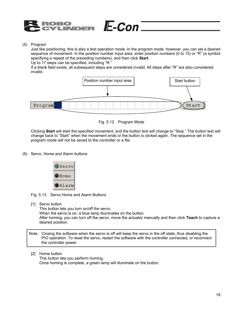

(5) Program

Just like positioning, this is also a test operation mode. In the program mode, however, you can set a desired sequence of movement. In the position number input area, enter position numbers (0 to 15) or "R" (a symbol specifying a repeat of the preceding numbers), and then click **Start**.

Up to 17 steps can be specified, including "R."

If a blank field exists, all subsequent steps are considered invalid. All steps after "R" are also considered invalid.

 $E$ -Con $=$ 



Fig. 5.12 Program Mode

Clicking **Start** will start the specified movement, and the button text will change to "Stop." The button text will change back to "Start" when the movement ends or the button is clicked again. The sequence set in the program mode will not be saved to the controller or a file.

(6) Servo, Home and Alarm buttons



Fig. 5.13 Servo Home and Alarm Buttons

[1] Servo button This button lets you turn on/off the servo. When the servo is on, a blue lamp illuminates on the button. After homing, you can turn off the servo, move the actuator manually and then click **Teach** to capture a desired position.

Note: Closing the software when the servo is off will keep the servo in the off state, thus disabling the PIO operation. To reset the servo, restart the software with the controller connected, or reconnect the controller power.

[2] Home button

 This button lets you perform homing. Once homing is complete, a green lamp will illuminate on the button.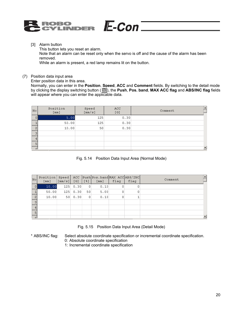

[3] Alarm button

 This button lets you reset an alarm. Note that an alarm can be reset only when the servo is off and the cause of the alarm has been removed.

 $E$ -Con $=$ 

While an alarm is present, a red lamp remains lit on the button.

(7) Position data input area

Enter position data in this area.

Normally, you can enter in the **Position**, **Speed**, **ACC** and **Comment** fields. By switching to the detail mode by clicking the display switching button ( ), the **Push**, **Pos. band**, **MAX ACC flag** and **ABS/INC flag** fields will appear where you can enter the applicable data.

| No | Position<br>[mm] | Speed<br>[mm/s] | ACC.<br>[G] | Comment |
|----|------------------|-----------------|-------------|---------|
|    | 5.00             | 125             | 0.30        |         |
|    | 50.00            | 125             | 0.30        |         |
| っ  | 10.00            | 50              | 0.30        |         |
| o  |                  |                 |             |         |
| 4  |                  |                 |             |         |
| 5  |                  |                 |             |         |
| G١ |                  |                 |             |         |

Fig. 5.14 Position Data Input Area (Normal Mode)

| $N \circ$      | Position<br>$\lceil$ mm $\rceil$ | Speed<br>$\lceil$ mm/s] | ACC.<br>[G] | [3] | Push Pos.band MAX ACC ABS / INC<br>$\lceil$ mm $\rceil$ | flag | flag | Comment |
|----------------|----------------------------------|-------------------------|-------------|-----|---------------------------------------------------------|------|------|---------|
| ΟI             | 10.00                            | 125                     | 0.30        | 0   | 0.10                                                    | 0    |      |         |
|                | 50.00                            | 125                     | 0.30        | 50  | 5.00                                                    | 0    | 0    |         |
| $\overline{c}$ | 10.00                            | 50 <sub>1</sub>         | 0.30        | 0   | 0.10                                                    | 0    |      |         |
| з              |                                  |                         |             |     |                                                         |      |      |         |
|                |                                  |                         |             |     |                                                         |      |      |         |
|                |                                  |                         |             |     |                                                         |      |      |         |
|                |                                  |                         |             |     |                                                         |      |      |         |

Fig. 5.15 Position Data Input Area (Detail Mode)

\* ABS/INC flag: Select absolute coordinate specification or incremental coordinate specification. 0: Absolute coordinate specification

1: Incremental coordinate specification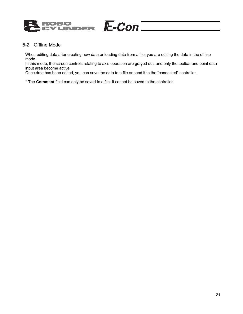

#### 5-2 Offline Mode

When editing data after creating new data or loading data from a file, you are editing the data in the offline mode.

In this mode, the screen controls relating to axis operation are grayed out, and only the toolbar and point data input area become active.

Once data has been edited, you can save the data to a file or send it to the "connected" controller.

\* The **Comment** field can only be saved to a file. It cannot be saved to the controller.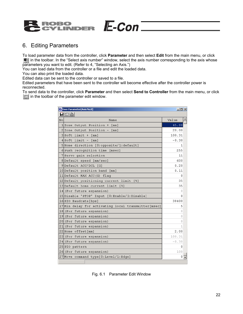

#### 6. Editing Parameters

To load parameter data from the controller, click **Parameter** and then select **Edit** from the main menu, or click in the toolbar. In the "Select axis number" window, select the axis number corresponding to the axis whose parameters you want to edit. (Refer to 4, "Selecting an Axis.")

 $E$ -Con $=$ 

You can load data from the controller or a file and edit the loaded data.

You can also print the loaded data.

Edited data can be sent to the controller or saved to a file.

Edited parameters that have been sent to the controller will become effective after the controller power is reconnected.

To send data to the controller, click **Parameter** and then select **Send to Controller** from the main menu, or click  $\boxed{1}$  in the toolbar of the parameter edit window.

| User Parameter[Axis No.0]                           | $\Box$ ol x |
|-----------------------------------------------------|-------------|
| HOBI                                                |             |
| No<br>Name                                          | Value       |
| 1 Zone Output Position + [mm]                       | 45.00       |
| 2 Zone Output Position -<br>$[$ mm $]$              | 20.00       |
| $3 $ Soft limit + $[mm]$                            | 100.31      |
| $4 $ Soft limit - [mm]                              | $-0.30$     |
| 5 Home direction [0:opposite/1:default]             | 1           |
| 6 Push recognition time [msec]                      | 255         |
| 7 Servo gain selection                              | 11          |
| 8Default speed [mm/sec]                             | 600         |
| 9Default ACC/DCL [G]                                | 0.20        |
| 10 Default position band [mm]                       | 0.11        |
| 11 Default MAX ACC(G) flag                          | Ω           |
| 12 Default positioning current limit [%]            | 35          |
| 13 Default home current limit [%]                   | 35          |
| 14 (For future expansion)                           | Ω           |
| 15 Disable 'STOP' Input [0: Enable/1: Disable]      | Ω           |
| 16 SIO Baudrate[bps]                                | 38400       |
| 17 Min delay for activating local transmitter[msec] | 5           |
| 18 (For future expansion)                           | Ω           |
| 19 (For future expansion)                           | 0           |
| 20 (For future expansion)                           | 0           |
| 21 (For future expansion)                           | 1           |
| 22 Home offset [mm]                                 | 2.00        |
| 23<br>(For future expansion)                        | 100.31      |
| 24 (For future expansion)                           | $-0.30$     |
| 25 PIO pattern                                      | 0           |
| 26 (For future expansion)                           | 100         |
| 27 Move command type[0:Level/1:Edqe]                | 0           |
|                                                     |             |

Fig. 6.1 Parameter Edit Window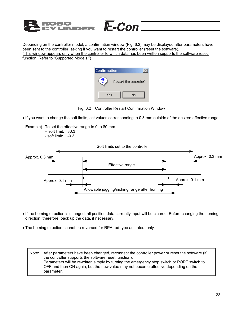

Depending on the controller model, a confirmation window (Fig. 6.2) may be displayed after parameters have been sent to the controller, asking if you want to restart the controller (reset the software). (This window appears only when the controller to which data has been written supports the software reset function. Refer to "Supported Models.")

E-Con

| <b>Confirmation</b> |                         |
|---------------------|-------------------------|
|                     | Restart the controller? |
| Yes                 | No                      |

Fig. 6.2 Controller Restart Confirmation Window

• If you want to change the soft limits, set values corresponding to 0.3 mm outside of the desired effective range.





- If the homing direction is changed, all position data currently input will be cleared. Before changing the homing direction, therefore, back up the data, if necessary.
- The homing direction cannot be reversed for RPA rod-type actuators only.

Note: After parameters have been changed, reconnect the controller power or reset the software (if the controller supports the software reset function). Parameters will be rewritten simply by turning the emergency stop switch or PORT switch to OFF and then ON again, but the new value may not become effective depending on the parameter.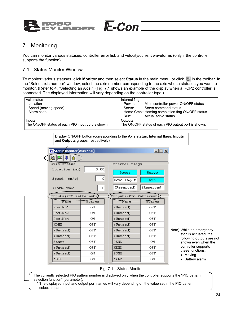### 7. Monitoring

You can monitor various statuses, controller error list, and velocity/current waveforms (only if the controller supports the function).

#### 7-1 Status Monitor Window

To monitor various statuses, click **Monitor** and then select **Status** in the main menu, or click **I**n the toolbar. In the "Select axis number" window, select the axis number corresponding to the axis whose statuses you want to monitor. (Refer to 4, "Selecting an Axis.") (Fig. 7.1 shows an example of the display when a RCP2 controller is connected. The displayed information will vary depending on the controller type.)

E-Con

| Axis status                                        | Internal flags                                      |
|----------------------------------------------------|-----------------------------------------------------|
| Location                                           | Main controller power ON/OFF status<br>Power:       |
| Speed (moving speed)                               | Servo command status<br>Servo:                      |
| Alarm code                                         | Home Cmplt: Homing completion flag ON/OFF status    |
|                                                    | Actual servo status<br>Run:                         |
| Inputs                                             | Outputs                                             |
| The ON/OFF status of each PIO input port is shown. | The ON/OFF status of each PIO output port is shown. |
|                                                    |                                                     |

Display ON/OFF button (corresponding to the **Axis status**, **Internal flags**, **Inputs** and **Outputs** groups, respectively)

| Status monitor [Axis No.0]     |         |                           | $ \Box$ $\times$ |  |  |  |  |
|--------------------------------|---------|---------------------------|------------------|--|--|--|--|
| KFI+1 <del>6</del>             |         |                           |                  |  |  |  |  |
| Internal flags-<br>Axis status |         |                           |                  |  |  |  |  |
| Location (mm)                  | 0.00    | <b>Power</b>              | Servo            |  |  |  |  |
| $Speed \ (mm/s)$               | o       | Home Cmplt                | Run              |  |  |  |  |
| Alarm code                     | $\circ$ | (Reserved)                | (Reserved)       |  |  |  |  |
| Inputs(PIO Pattern=0)>         |         | Outputs (PIO Pattern=0) > |                  |  |  |  |  |
| Name                           | Status  | Name                      | Status           |  |  |  |  |
| Pos.No1                        | ΟN      | (Unused)                  | OFF              |  |  |  |  |
| Pos.No2                        | ΟN      | (Unused)                  | OFF              |  |  |  |  |
| Pos.No4                        | ΟN      | (Unused)                  | OFF              |  |  |  |  |
| HOME                           | OFF     | (Unused)                  | OFF              |  |  |  |  |
| (Unused)                       | OFF     | (Unused)                  | OFF              |  |  |  |  |
| (Unused)                       | OFF     | (Unused)                  | OFF              |  |  |  |  |
| Start                          | OFF     | PEND                      | ON               |  |  |  |  |
| (Unused)                       | OFF     | <b>HEND</b>               | OFF              |  |  |  |  |
| (Unused)                       | ΟN      | ZONE                      | OFF              |  |  |  |  |
| *STP                           | ON      | *ALM                      | ON               |  |  |  |  |

Note) While an emergency stop is actuated, the following outputs are not shown even when the controller supports these functions:

- Moving
- Battery alarm

#### Fig. 7.1 Status Monitor

The currently selected PIO pattern number is displayed only when the controller supports the "PIO pattern selection function" (parameter).

\* The displayed input and output port names will vary depending on the value set in the PIO pattern selection parameter.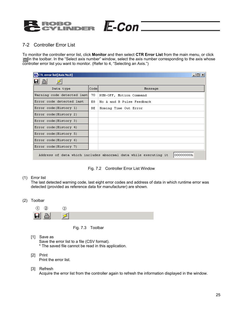

#### 7-2 Controller Error List

To monitor the controller error list, click **Monitor** and then select **CTR Error List** from the main menu, or click in the toolbar. In the "Select axis number" window, select the axis number corresponding to the axis whose controller error list you want to monitor. (Refer to 4, "Selecting an Axis.")

 $E$ -Con $=$ 

| $\Box$ o $\times$<br><b>E</b> CTL error list[Axis No.0]                      |      |                           |  |  |  |  |
|------------------------------------------------------------------------------|------|---------------------------|--|--|--|--|
| A                                                                            |      |                           |  |  |  |  |
| Data type                                                                    | Code | Message                   |  |  |  |  |
| Warning code detected last                                                   | 70   | RUN-OFF, Motion Command   |  |  |  |  |
| Error code detected last                                                     | E8.  | No A and B Pulse Feedback |  |  |  |  |
| Error code (History 1)                                                       | ВE   | Homing Time Out Error     |  |  |  |  |
| Error code(History 2)                                                        |      |                           |  |  |  |  |
| Error code(History 3)                                                        |      |                           |  |  |  |  |
| Error code (History 4)                                                       |      |                           |  |  |  |  |
| Error code (History 5)                                                       |      |                           |  |  |  |  |
| Error code(History 6)                                                        |      |                           |  |  |  |  |
| Error code (History 7)                                                       |      |                           |  |  |  |  |
| 00000000h<br>Address of data which includes abnormal data while executing it |      |                           |  |  |  |  |

Fig. 7.2 Controller Error List Window

#### (1) Error list

The last detected warning code, last eight error codes and address of data in which runtime error was detected (provided as reference data for manufacturer) are shown.

(2) Toolbar



- Fig. 7.3 Toolbar
- [1] Save as
	- Save the error list to a file (CSV format). \* The saved file cannot be read in this application.
- [2] Print Print the error list.
- [3] Refresh

Acquire the error list from the controller again to refresh the information displayed in the window.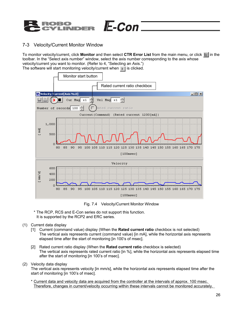

#### 7-3 Velocity/Current Monitor Window

To monitor velocity/current, click **Monitor** and then select CTR Error List from the main menu, or click  $\equiv$  in the toolbar. In the "Select axis number" window, select the axis number corresponding to the axis whose velocity/current you want to monitor. (Refer to 4, "Selecting an Axis.") The software will start monitoring velocity/current when  $\|\cdot\|$  is clicked.

 $E$ -Con



Fig. 7.4 Velocity/Current Monitor Window

- \* The RCP, RCS and E-Con series do not support this function. It is supported by the RCP2 and ERC series.
- (1) Current data display
	- [1] Current (command value) display (When the **Rated current ratio** checkbox is not selected) The vertical axis represents current (command value) [in mA], while the horizontal axis represents elapsed time after the start of monitoring [in 100's of msec].
	- [2] Rated current ratio display (When the **Rated current ratio** checkbox is selected) The vertical axis represents rated current ratio [in %], while the horizontal axis represents elapsed time after the start of monitoring [in 100's of msec].

#### (2) Velocity data display

The vertical axis represents velocity [in mm/s], while the horizontal axis represents elapsed time after the start of monitoring [in 100's of msec].

Current data and velocity data are acquired from the controller at the intervals of approx. 100 msec. Therefore, changes in current/velocity occurring within these intervals cannot be monitored accurately.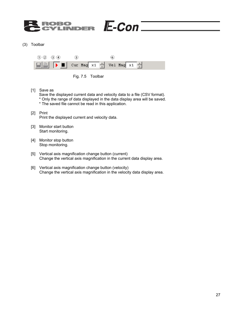#### $E$ -Con $=$ ROBO VDER

(3) Toolbar





[1] Save as

Save the displayed current data and velocity data to a file (CSV format).

- \* Only the range of data displayed in the data display area will be saved.
	- \* The saved file cannot be read in this application.
- [2] Print Print the displayed current and velocity data.
- [3] Monitor start button Start monitoring.
- [4] Monitor stop button Stop monitoring.
- [5] Vertical axis magnification change button (current) Change the vertical axis magnification in the current data display area.
- [6] Vertical axis magnification change button (velocity) Change the vertical axis magnification in the velocity data display area.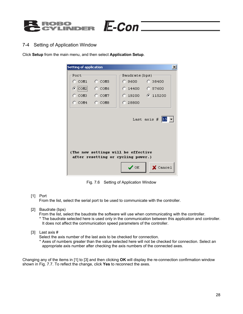

#### 7-4 Setting of Application Window

Click **Setup** from the main menu, and then select **Application Setup**.

| <b>Setting of application</b>                                             | $\vert x \vert$                     |  |  |  |  |  |  |  |
|---------------------------------------------------------------------------|-------------------------------------|--|--|--|--|--|--|--|
| Port-                                                                     | Baudrate (bps) -                    |  |  |  |  |  |  |  |
| $C$ COM5                                                                  | C.38400<br>C 9600 -                 |  |  |  |  |  |  |  |
| $\odot$ (COM2)<br>$C$ COM6                                                | C 14400 C 57600                     |  |  |  |  |  |  |  |
| $C$ COM3 $C$ COM7                                                         | C 19200 G 115200                    |  |  |  |  |  |  |  |
| $\degree$ COM4 $\degree$ COM8                                             | C 28800                             |  |  |  |  |  |  |  |
| (The new settings will be effective<br>after resetting or cycling power.) |                                     |  |  |  |  |  |  |  |
|                                                                           | $\mathcal{S}$ ok<br>$\times$ Cancel |  |  |  |  |  |  |  |

 $E$ -Con $=$ 

Fig. 7.6 Setting of Application Window

[1] Port

From the list, select the serial port to be used to communicate with the controller.

[2] Baudrate (bps)

From the list, select the baudrate the software will use when communicating with the controller.

- \* The baudrate selected here is used only in the communication between this application and controller. It does not affect the communication speed parameters of the controller.
- [3] Last axis #

Select the axis number of the last axis to be checked for connection.

\* Axes of numbers greater than the value selected here will not be checked for connection. Select an appropriate axis number after checking the axis numbers of the connected axes.

Changing any of the items in [1] to [3] and then clicking **OK** will display the re-connection confirmation window shown in Fig. 7.7. To reflect the change, click **Yes** to reconnect the axes.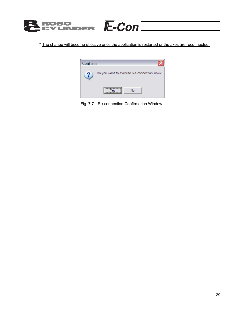

\* The change will become effective once the application is restarted or the axes are reconnected.



Fig. 7.7 Re-connection Confirmation Window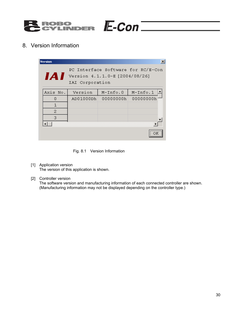

8. Version Information

| <b>Version</b> |                 |                                | $\boldsymbol{\mathsf{x}}$          |
|----------------|-----------------|--------------------------------|------------------------------------|
| 1A I           | IAI Corporation | Version 4.1.1.0-E [2004/08/26] | PC Interface Software for RC/E-Con |
| Axis No.       | Version         | $M-Tnfo.0$                     | $M-Tnfo.1$                         |
| О              | AD01000Dh       | 00000000h                      | 00000000h                          |
| 1              |                 |                                |                                    |
| 2              |                 |                                |                                    |
| 3              |                 |                                |                                    |
|                |                 |                                |                                    |
|                |                 |                                |                                    |

Fig. 8.1 Version Information

- [1] Application version The version of this application is shown.
- [2] Controller version The software version and manufacturing information of each connected controller are shown. (Manufacturing information may not be displayed depending on the controller type.)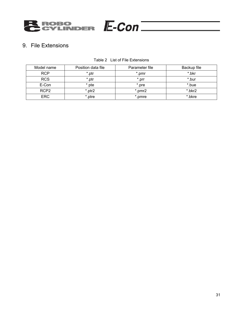

## 9. File Extensions

| Model name       | Position data file | Parameter file | Backup file |
|------------------|--------------------|----------------|-------------|
| <b>RCP</b>       | *.ptr              | *.pmr          | *.bkr       |
| <b>RCS</b>       | *.ptr              | *.prr          | *.bur       |
| E-Con            | * pte              | *.pre          | *.bue       |
| RCP <sub>2</sub> | *.ptr2             | *.pmr2         | *.bkr2      |
| <b>ERC</b>       | *.ptre             | *.pmre         | *.bkre      |

Table 2 List of File Extensions